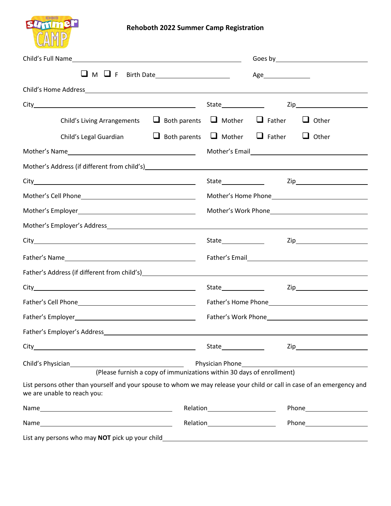

## **Rehoboth 2022 Summer Camp Registration**

|  |                                                                                                                                                                                                                               |                                                                       | Age____________________ |  |                      |  |
|--|-------------------------------------------------------------------------------------------------------------------------------------------------------------------------------------------------------------------------------|-----------------------------------------------------------------------|-------------------------|--|----------------------|--|
|  |                                                                                                                                                                                                                               |                                                                       |                         |  |                      |  |
|  |                                                                                                                                                                                                                               |                                                                       |                         |  |                      |  |
|  | Child's Living Arrangements $\Box$ Both parents $\Box$ Mother $\Box$ Father $\Box$ Other                                                                                                                                      |                                                                       |                         |  |                      |  |
|  | Child's Legal Guardian $\Box$ Both parents $\Box$ Mother $\Box$ Father $\Box$ Other                                                                                                                                           |                                                                       |                         |  |                      |  |
|  | Mother's Name                                                                                                                                                                                                                 |                                                                       |                         |  |                      |  |
|  |                                                                                                                                                                                                                               |                                                                       |                         |  |                      |  |
|  |                                                                                                                                                                                                                               |                                                                       |                         |  |                      |  |
|  |                                                                                                                                                                                                                               |                                                                       |                         |  |                      |  |
|  |                                                                                                                                                                                                                               |                                                                       |                         |  |                      |  |
|  |                                                                                                                                                                                                                               |                                                                       |                         |  |                      |  |
|  |                                                                                                                                                                                                                               |                                                                       |                         |  |                      |  |
|  |                                                                                                                                                                                                                               |                                                                       |                         |  |                      |  |
|  | Father's Address (if different from child's) example and the set of the set of the set of the set of the set of the set of the set of the set of the set of the set of the set of the set of the set of the set of the set of |                                                                       |                         |  |                      |  |
|  |                                                                                                                                                                                                                               |                                                                       |                         |  |                      |  |
|  |                                                                                                                                                                                                                               |                                                                       |                         |  |                      |  |
|  |                                                                                                                                                                                                                               |                                                                       |                         |  |                      |  |
|  |                                                                                                                                                                                                                               |                                                                       |                         |  |                      |  |
|  |                                                                                                                                                                                                                               |                                                                       | State_______________    |  |                      |  |
|  |                                                                                                                                                                                                                               | (Please furnish a copy of immunizations within 30 days of enrollment) |                         |  |                      |  |
|  | List persons other than yourself and your spouse to whom we may release your child or call in case of an emergency and<br>we are unable to reach you:                                                                         |                                                                       |                         |  |                      |  |
|  |                                                                                                                                                                                                                               | Relation________________________                                      |                         |  |                      |  |
|  |                                                                                                                                                                                                                               |                                                                       |                         |  | Relation Phone Phone |  |
|  | List any persons who may NOT pick up your child                                                                                                                                                                               |                                                                       |                         |  |                      |  |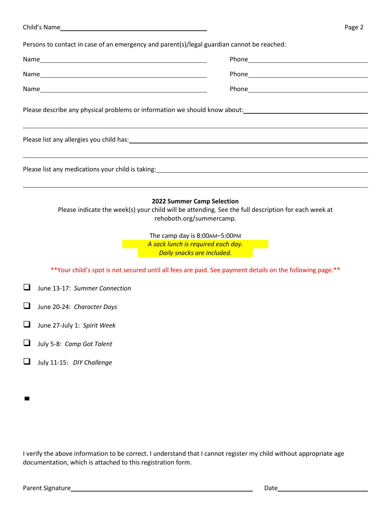|   | Page 2                                                                                                                                                                                                                                                             |
|---|--------------------------------------------------------------------------------------------------------------------------------------------------------------------------------------------------------------------------------------------------------------------|
|   | Persons to contact in case of an emergency and parent(s)/legal guardian cannot be reached:                                                                                                                                                                         |
|   | Phone Phone Phone Phone Phone Phone Phone Phone Phone Phone Phone Phone Phone Phone Phone Phone Phone Phone Phone Phone Phone Phone Phone Phone Phone Phone Phone Phone Phone Phone Phone Phone Phone Phone Phone Phone Phone                                      |
|   |                                                                                                                                                                                                                                                                    |
|   |                                                                                                                                                                                                                                                                    |
|   | Please describe any physical problems or information we should know about:<br>Notation and the content of the content of the content of the content of the content of the content of the content of the content of the content o                                   |
|   |                                                                                                                                                                                                                                                                    |
|   |                                                                                                                                                                                                                                                                    |
|   | 2022 Summer Camp Selection<br>Please indicate the week(s) your child will be attending. See the full description for each week at<br>rehoboth.org/summercamp.<br>The camp day is 8:00AM-5:00PM<br>A sack lunch is required each day.<br>Daily snacks are included. |
|   | **Your child's spot is not secured until all fees are paid. See payment details on the following page.**                                                                                                                                                           |
|   | June 13-17: Summer Connection                                                                                                                                                                                                                                      |
|   | June 20-24: Character Days                                                                                                                                                                                                                                         |
|   | June 27-July 1: Spirit Week                                                                                                                                                                                                                                        |
| ⊔ | July 5-8: Camp Got Talent                                                                                                                                                                                                                                          |
|   | July 11-15: DIY Challenge                                                                                                                                                                                                                                          |

I verify the above information to be correct. I understand that I cannot register my child without appropriate age documentation, which is attached to this registration form.

 $\blacksquare$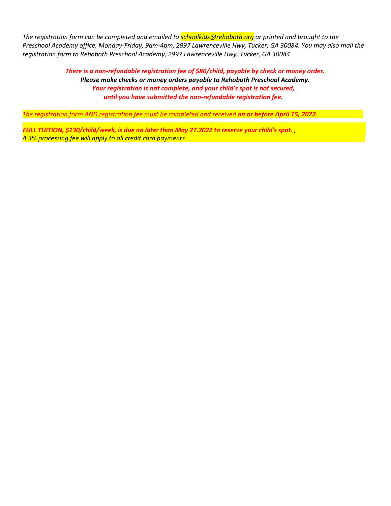*The registration form can be completed and emailed to schoolkids@rehoboth.org or printed and brought to the Preschool Academy office, Monday-Friday, 9am-4pm, 2997 Lawrenceville Hwy, Tucker, GA 30084. You may also mail the registration form to Rehoboth Preschool Academy, 2997 Lawrenceville Hwy, Tucker, GA 30084.*

> *There is a non-refundable registration fee of \$80/child, payable by check or money order. Please make checks or money orders payable to Rehoboth Preschool Academy. Your registration is not complete, and your child's spot is not secured, until you have submitted the non-refundable registration fee.*

*The registration form AND registration fee must be completed and received on or before April 15, 2022.*

*FULL TUITION, \$130/child/week, is due no later than May 27.2022 to reserve your child's spot. , A 3% processing fee will apply to all credit card payments.*